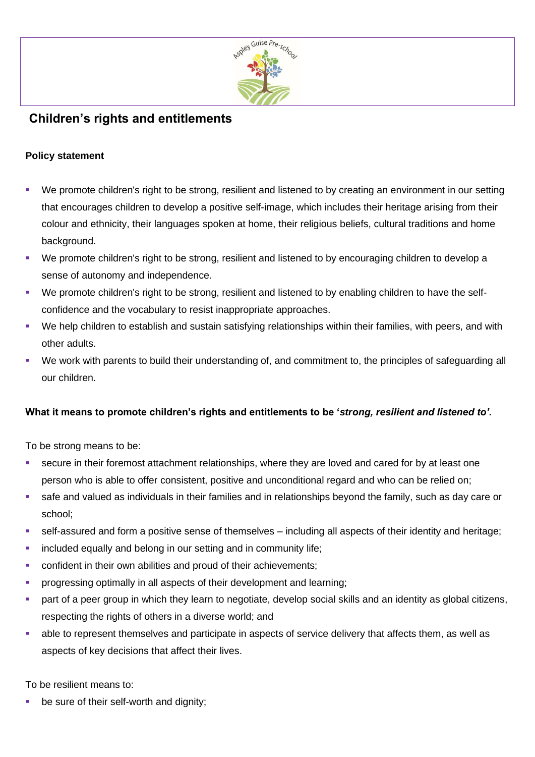

## **Children's rights and entitlements**

## **Policy statement**

- We promote children's right to be strong, resilient and listened to by creating an environment in our setting that encourages children to develop a positive self-image, which includes their heritage arising from their colour and ethnicity, their languages spoken at home, their religious beliefs, cultural traditions and home background.
- We promote children's right to be strong, resilient and listened to by encouraging children to develop a sense of autonomy and independence.
- We promote children's right to be strong, resilient and listened to by enabling children to have the selfconfidence and the vocabulary to resist inappropriate approaches.
- We help children to establish and sustain satisfying relationships within their families, with peers, and with other adults.
- We work with parents to build their understanding of, and commitment to, the principles of safeguarding all our children.

## **What it means to promote children's rights and entitlements to be '***strong, resilient and listened to'.*

To be strong means to be:

- secure in their foremost attachment relationships, where they are loved and cared for by at least one person who is able to offer consistent, positive and unconditional regard and who can be relied on;
- safe and valued as individuals in their families and in relationships beyond the family, such as day care or school;
- self-assured and form a positive sense of themselves including all aspects of their identity and heritage;
- **•** included equally and belong in our setting and in community life;
- confident in their own abilities and proud of their achievements;
- **•** progressing optimally in all aspects of their development and learning;
- part of a peer group in which they learn to negotiate, develop social skills and an identity as global citizens, respecting the rights of others in a diverse world; and
- able to represent themselves and participate in aspects of service delivery that affects them, as well as aspects of key decisions that affect their lives.

To be resilient means to:

be sure of their self-worth and dignity;